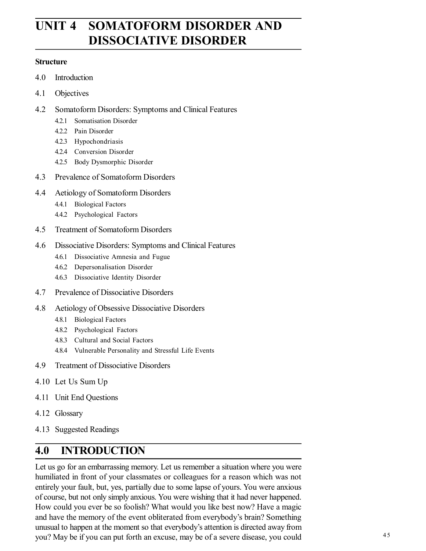# **UNIT 4 SOMATOFORM DISORDER AND DISSOCIATIVE DISORDER**

#### **Structure**

- 4.0 Introduction
- 4.1 Objectives
- 4.2 Somatoform Disorders: Symptoms and Clinical Features
	- 4.2.1 Somatisation Disorder
	- 4.2.2 Pain Disorder
	- 4.2.3 Hypochondriasis
	- 4.2.4 Conversion Disorder
	- 4.2.5 Body Dysmorphic Disorder
- 4.3 Prevalence of Somatoform Disorders
- 4.4 Aetiology of Somatoform Disorders
	- 4.4.1 Biological Factors
	- 4.4.2 Psychological Factors
- 4.5 Treatment of Somatoform Disorders
- 4.6 Dissociative Disorders: Symptoms and Clinical Features
	- 4.6.1 Dissociative Amnesia and Fugue
	- 4.6.2 Depersonalisation Disorder
	- 4.6.3 Dissociative Identity Disorder
- 4.7 Prevalence of Dissociative Disorders
- 4.8 Aetiology of Obsessive Dissociative Disorders
	- 4.8.1 Biological Factors
	- 4.8.2 Psychological Factors
	- 4.8.3 Cultural and Social Factors
	- 4.8.4 Vulnerable Personality and Stressful Life Events
- 4.9 Treatment of Dissociative Disorders
- 4.10 Let Us Sum Up
- 4.11 Unit End Questions
- 4.12 Glossary
- 4.13 Suggested Readings

## **4.0 INTRODUCTION**

Let us go for an embarrassing memory. Let us remember a situation where you were humiliated in front of your classmates or colleagues for a reason which was not entirely your fault, but, yes, partially due to some lapse of yours. You were anxious of course, but not only simply anxious. You were wishing that it had never happened. How could you ever be so foolish? What would you like best now? Have a magic and have the memory of the event obliterated from everybody's brain? Something unusual to happen at the moment so that everybody's attention is directed away from you? May be if you can put forth an excuse, may be of a severe disease, you could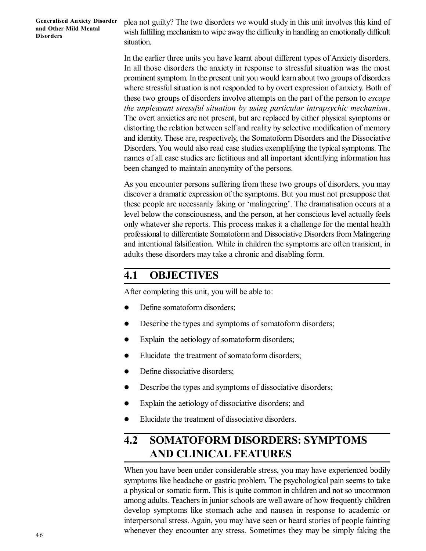plea not guilty? The two disorders we would study in this unit involves this kind of wish fulfilling mechanism to wipe away the difficulty in handling an emotionally difficult situation.

In the earlier three units you have learnt about different types of Anxiety disorders. In all those disorders the anxiety in response to stressful situation was the most prominent symptom. In the present unit you would learn about two groups of disorders where stressful situation is not responded to by overt expression of anxiety. Both of these two groups of disorders involve attempts on the part of the person to *escape the unpleasant stressful situation by using particular intrapsychic mechanism*. The overt anxieties are not present, but are replaced by either physical symptoms or distorting the relation between self and reality by selective modification of memory and identity. These are, respectively, the Somatoform Disorders and the Dissociative Disorders. You would also read case studies exemplifying the typical symptoms. The names of all case studies are fictitious and all important identifying information has been changed to maintain anonymity of the persons.

As you encounter persons suffering from these two groups of disorders, you may discover a dramatic expression of the symptoms. But you must not presuppose that these people are necessarily faking or 'malingering'. The dramatisation occurs at a level below the consciousness, and the person, at her conscious level actually feels only whatever she reports. This process makes it a challenge for the mental health professional to differentiate Somatoform and Dissociative Disorders from Malingering and intentional falsification. While in children the symptoms are often transient, in adults these disorders may take a chronic and disabling form.

#### **4.1 OBJECTIVES**

After completing this unit, you will be able to:

- Define somatoform disorders;
- Describe the types and symptoms of somatoform disorders;
- Explain the aetiology of somatoform disorders;
- Elucidate the treatment of somatoform disorders;
- Define dissociative disorders;
- Describe the types and symptoms of dissociative disorders;
- Explain the aetiology of dissociative disorders; and
- Elucidate the treatment of dissociative disorders.

## **4.2 SOMATOFORM DISORDERS: SYMPTOMS AND CLINICAL FEATURES**

When you have been under considerable stress, you may have experienced bodily symptoms like headache or gastric problem. The psychological pain seems to take a physical or somatic form. This is quite common in children and not so uncommon among adults. Teachers in junior schools are well aware of how frequently children develop symptoms like stomach ache and nausea in response to academic or interpersonal stress. Again, you may have seen or heard stories of people fainting whenever they encounter any stress. Sometimes they may be simply faking the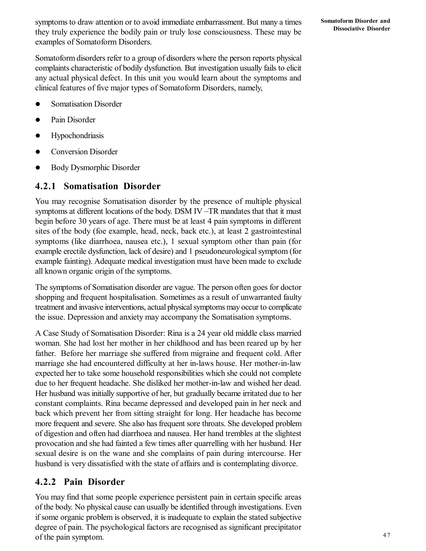symptoms to draw attention or to avoid immediate embarrassment. But many a times they truly experience the bodily pain or truly lose consciousness. These may be examples of Somatoform Disorders.

Somatoform disorders refer to a group of disorders where the person reports physical complaints characteristic of bodily dysfunction. But investigation usually fails to elicit any actual physical defect. In this unit you would learn about the symptoms and clinical features of five major types of Somatoform Disorders, namely,

- **•** Somatisation Disorder
- Pain Disorder
- Hypochondriasis
- Conversion Disorder
- Body Dysmorphic Disorder

#### **4.2.1 Somatisation Disorder**

You may recognise Somatisation disorder by the presence of multiple physical symptoms at different locations of the body. DSM IV –TR mandates that that it must begin before 30 years of age. There must be at least 4 pain symptoms in different sites of the body (foe example, head, neck, back etc.), at least 2 gastrointestinal symptoms (like diarrhoea, nausea etc.), 1 sexual symptom other than pain (for example erectile dysfunction, lack of desire) and 1 pseudoneurological symptom (for example fainting). Adequate medical investigation must have been made to exclude all known organic origin of the symptoms.

The symptoms of Somatisation disorder are vague. The person often goes for doctor shopping and frequent hospitalisation. Sometimes as a result of unwarranted faulty treatment and invasive interventions, actual physical symptoms may occur to complicate the issue. Depression and anxiety may accompany the Somatisation symptoms.

A Case Study of Somatisation Disorder: Rina is a 24 year old middle class married woman. She had lost her mother in her childhood and has been reared up by her father. Before her marriage she suffered from migraine and frequent cold. After marriage she had encountered difficulty at her in-laws house. Her mother-in-law expected her to take some household responsibilities which she could not complete due to her frequent headache. She disliked her mother-in-law and wished her dead. Her husband was initially supportive of her, but gradually became irritated due to her constant complaints. Rina became depressed and developed pain in her neck and back which prevent her from sitting straight for long. Her headache has become more frequent and severe. She also has frequent sore throats. She developed problem of digestion and often had diarrhoea and nausea. Her hand trembles at the slightest provocation and she had fainted a few times after quarrelling with her husband. Her sexual desire is on the wane and she complains of pain during intercourse. Her husband is very dissatisfied with the state of affairs and is contemplating divorce.

#### **4.2.2 Pain Disorder**

You may find that some people experience persistent pain in certain specific areas of the body. No physical cause can usually be identified through investigations. Even if some organic problem is observed, it is inadequate to explain the stated subjective degree of pain. The psychological factors are recognised as significant precipitator of the pain symptom.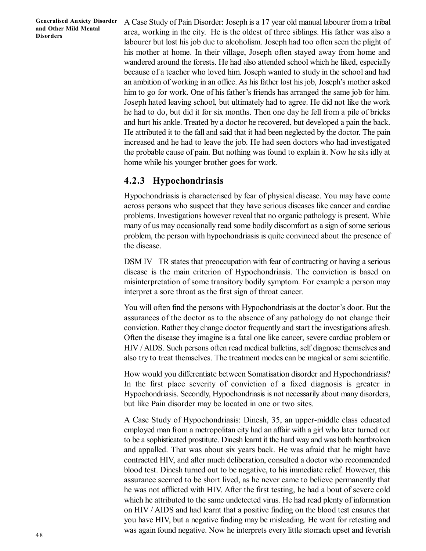A Case Study of Pain Disorder: Joseph is a 17 year old manual labourer from a tribal area, working in the city. He is the oldest of three siblings. His father was also a labourer but lost his job due to alcoholism. Joseph had too often seen the plight of his mother at home. In their village, Joseph often stayed away from home and wandered around the forests. He had also attended school which he liked, especially because of a teacher who loved him. Joseph wanted to study in the school and had an ambition of working in an office. As his father lost his job, Joseph's mother asked him to go for work. One of his father's friends has arranged the same job for him. Joseph hated leaving school, but ultimately had to agree. He did not like the work he had to do, but did it for six months. Then one day he fell from a pile of bricks and hurt his ankle. Treated by a doctor he recovered, but developed a pain the back. He attributed it to the fall and said that it had been neglected by the doctor. The pain increased and he had to leave the job. He had seen doctors who had investigated the probable cause of pain. But nothing was found to explain it. Now he sits idly at home while his younger brother goes for work.

#### **4.2.3 Hypochondriasis**

Hypochondriasis is characterised by fear of physical disease. You may have come across persons who suspect that they have serious diseases like cancer and cardiac problems. Investigations however reveal that no organic pathology is present. While many of us may occasionally read some bodily discomfort as a sign of some serious problem, the person with hypochondriasis is quite convinced about the presence of the disease.

DSM IV –TR states that preoccupation with fear of contracting or having a serious disease is the main criterion of Hypochondriasis. The conviction is based on misinterpretation of some transitory bodily symptom. For example a person may interpret a sore throat as the first sign of throat cancer.

You will often find the persons with Hypochondriasis at the doctor's door. But the assurances of the doctor as to the absence of any pathology do not change their conviction. Rather they change doctor frequently and start the investigations afresh. Often the disease they imagine is a fatal one like cancer, severe cardiac problem or HIV / AIDS. Such persons often read medical bulletins, self diagnose themselves and also try to treat themselves. The treatment modes can be magical or semi scientific.

How would you differentiate between Somatisation disorder and Hypochondriasis? In the first place severity of conviction of a fixed diagnosis is greater in Hypochondriasis. Secondly, Hypochondriasis is not necessarily about many disorders, but like Pain disorder may be located in one or two sites.

A Case Study of Hypochondriasis: Dinesh, 35, an upper-middle class educated employed man from a metropolitan city had an affair with a girl who later turned out to be a sophisticated prostitute. Dinesh learnt it the hard way and was both heartbroken and appalled. That was about six years back. He was afraid that he might have contracted HIV, and after much deliberation, consulted a doctor who recommended blood test. Dinesh turned out to be negative, to his immediate relief. However, this assurance seemed to be short lived, as he never came to believe permanently that he was not afflicted with HIV. After the first testing, he had a bout of severe cold which he attributed to the same undetected virus. He had read plenty of information on HIV / AIDS and had learnt that a positive finding on the blood test ensures that you have HIV, but a negative finding may be misleading. He went for retesting and was again found negative. Now he interprets every little stomach upset and feverish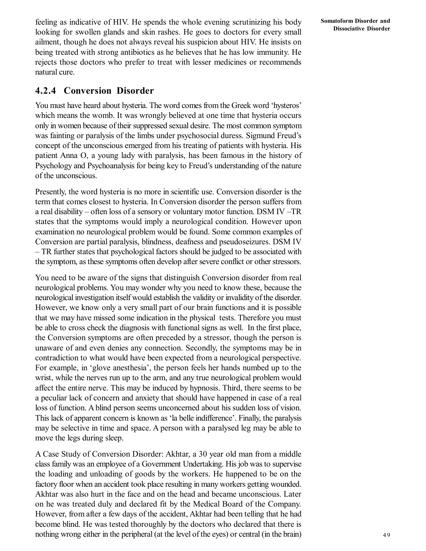feeling as indicative of HIV. He spends the whole evening scrutinizing his body looking for swollen glands and skin rashes. He goes to doctors for every small ailment, though he does not always reveal his suspicion about HIV. He insists on being treated with strong antibiotics as he believes that he has low immunity. He rejects those doctors who prefer to treat with lesser medicines or recommends natural cure.

#### **4.2.4 Conversion Disorder**

You must have heard about hysteria. The word comes from the Greek word 'hysteros' which means the womb. It was wrongly believed at one time that hysteria occurs only in women because of their suppressed sexual desire. The most common symptom was fainting or paralysis of the limbs under psychosocial duress. Sigmund Freud's concept of the unconscious emerged from his treating of patients with hysteria. His patient Anna O, a young lady with paralysis, has been famous in the history of Psychology and Psychoanalysis for being key to Freud's understanding of the nature of the unconscious.

Presently, the word hysteria is no more in scientific use. Conversion disorder is the term that comes closest to hysteria. In Conversion disorder the person suffers from a real disability – often loss of a sensory or voluntary motor function. DSM IV –TR states that the symptoms would imply a neurological condition. However upon examination no neurological problem would be found. Some common examples of Conversion are partial paralysis, blindness, deafness and pseudoseizures. DSM IV – TR further states that psychological factors should be judged to be associated with the symptom, as these symptoms often develop after severe conflict or other stressors.

You need to be aware of the signs that distinguish Conversion disorder from real neurological problems. You may wonder why you need to know these, because the neurological investigation itself would establish the validity or invalidity of the disorder. However, we know only a very small part of our brain functions and it is possible that we may have missed some indication in the physical tests. Therefore you must be able to cross check the diagnosis with functional signs as well. In the first place, the Conversion symptoms are often preceded by a stressor, though the person is unaware of and even denies any connection. Secondly, the symptoms may be in contradiction to what would have been expected from a neurological perspective. For example, in 'glove anesthesia', the person feels her hands numbed up to the wrist, while the nerves run up to the arm, and any true neurological problem would affect the entire nerve. This may be induced by hypnosis. Third, there seems to be a peculiar lack of concern and anxiety that should have happened in case of a real loss of function. A blind person seems unconcerned about his sudden loss of vision. This lack of apparent concern is known as 'la belle indifference'. Finally, the paralysis may be selective in time and space. A person with a paralysed leg may be able to move the legs during sleep.

A Case Study of Conversion Disorder: Akhtar, a 30 year old man from a middle class family was an employee of a Government Undertaking. His job was to supervise the loading and unloading of goods by the workers. He happened to be on the factory floor when an accident took place resulting in many workers getting wounded. Akhtar was also hurt in the face and on the head and became unconscious. Later on he was treated duly and declared fit by the Medical Board of the Company. However, from after a few days of the accident, Akhtar had been telling that he had become blind. He was tested thoroughly by the doctors who declared that there is nothing wrong either in the peripheral (at the level of the eyes) or central (in the brain)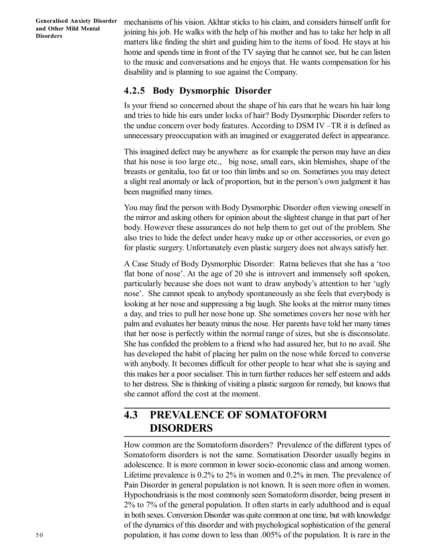mechanisms of his vision. Akhtar sticks to his claim, and considers himself unfit for joining his job. He walks with the help of his mother and has to take her help in all matters like finding the shirt and guiding him to the items of food. He stays at his home and spends time in front of the TV saying that he cannot see, but he can listen to the music and conversations and he enjoys that. He wants compensation for his disability and is planning to sue against the Company.

#### **4.2.5 Body Dysmorphic Disorder**

Is your friend so concerned about the shape of his ears that he wears his hair long and tries to hide his ears under locks of hair? Body Dysmorphic Disorder refers to the undue concern over body features. According to DSM IV –TR it is defined as unnecessary preoccupation with an imagined or exaggerated defect in appearance.

This imagined defect may be anywhere as for example the person may have an diea that his nose is too large etc., big nose, small ears, skin blemishes, shape of the breasts or genitalia, too fat or too thin limbs and so on. Sometimes you may detect a slight real anomaly or lack of proportion, but in the person's own judgment it has been magnified many times.

You may find the person with Body Dysmorphic Disorder often viewing oneself in the mirror and asking others for opinion about the slightest change in that part of her body. However these assurances do not help them to get out of the problem. She also tries to hide the defect under heavy make up or other accessories, or even go for plastic surgery. Unfortunately even plastic surgery does not always satisfy her.

A Case Study of Body Dysmorphic Disorder: Ratna believes that she has a 'too flat bone of nose'. At the age of 20 she is introvert and immensely soft spoken, particularly because she does not want to draw anybody's attention to her 'ugly nose'. She cannot speak to anybody spontaneously as she feels that everybody is looking at her nose and suppressing a big laugh. She looks at the mirror many times a day, and tries to pull her nose bone up. She sometimes covers her nose with her palm and evaluates her beauty minus the nose. Her parents have told her many times that her nose is perfectly within the normal range of sizes, but she is disconsolate. She has confided the problem to a friend who had assured her, but to no avail. She has developed the habit of placing her palm on the nose while forced to converse with anybody. It becomes difficult for other people to hear what she is saying and this makes her a poor socialiser. This in turn further reduces her self esteem and adds to her distress. She is thinking of visiting a plastic surgeon for remedy, but knows that she cannot afford the cost at the moment.

## **4.3 PREVALENCE OF SOMATOFORM DISORDERS**

How common are the Somatoform disorders? Prevalence of the different types of Somatoform disorders is not the same. Somatisation Disorder usually begins in adolescence. It is more common in lower socio-economic class and among women. Lifetime prevalence is 0.2% to 2% in women and 0.2% in men. The prevalence of Pain Disorder in general population is not known. It is seen more often in women. Hypochondriasis is the most commonly seen Somatoform disorder, being present in 2% to 7% of the general population. It often starts in early adulthood and is equal in both sexes. Conversion Disorder was quite common at one time, but with knowledge of the dynamics of this disorder and with psychological sophistication of the general population, it has come down to less than .005% of the population. It is rare in the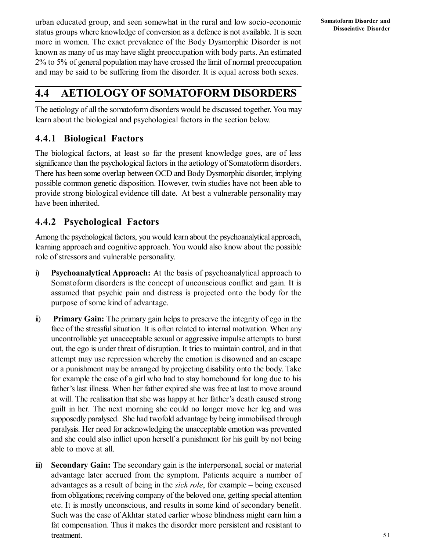urban educated group, and seen somewhat in the rural and low socio-economic status groups where knowledge of conversion as a defence is not available. It is seen more in women. The exact prevalence of the Body Dysmorphic Disorder is not known as many of us may have slight preoccupation with body parts. An estimated 2% to 5% of general population may have crossed the limit of normal preoccupation and may be said to be suffering from the disorder. It is equal across both sexes.

## **4.4 AETIOLOGY OF SOMATOFORM DISORDERS**

The aetiology of all the somatoform disorders would be discussed together. You may learn about the biological and psychological factors in the section below.

#### **4.4.1 Biological Factors**

The biological factors, at least so far the present knowledge goes, are of less significance than the psychological factors in the aetiology of Somatoform disorders. There has been some overlap between OCD and Body Dysmorphic disorder, implying possible common genetic disposition. However, twin studies have not been able to provide strong biological evidence till date. At best a vulnerable personality may have been inherited.

#### **4.4.2 Psychological Factors**

Among the psychological factors, you would learn about the psychoanalytical approach, learning approach and cognitive approach. You would also know about the possible role of stressors and vulnerable personality.

- i) **Psychoanalytical Approach:** At the basis of psychoanalytical approach to Somatoform disorders is the concept of unconscious conflict and gain. It is assumed that psychic pain and distress is projected onto the body for the purpose of some kind of advantage.
- ii) **Primary Gain:** The primary gain helps to preserve the integrity of ego in the face of the stressful situation. It is often related to internal motivation. When any uncontrollable yet unacceptable sexual or aggressive impulse attempts to burst out, the ego is under threat of disruption. It tries to maintain control, and in that attempt may use repression whereby the emotion is disowned and an escape or a punishment may be arranged by projecting disability onto the body. Take for example the case of a girl who had to stay homebound for long due to his father's last illness. When her father expired she was free at last to move around at will. The realisation that she was happy at her father's death caused strong guilt in her. The next morning she could no longer move her leg and was supposedly paralysed. She had twofold advantage by being immobilised through paralysis. Her need for acknowledging the unacceptable emotion was prevented and she could also inflict upon herself a punishment for his guilt by not being able to move at all.
- iii) **Secondary Gain:** The secondary gain is the interpersonal, social or material advantage later accrued from the symptom. Patients acquire a number of advantages as a result of being in the *sick role*, for example – being excused from obligations; receiving company of the beloved one, getting special attention etc. It is mostly unconscious, and results in some kind of secondary benefit. Such was the case of Akhtar stated earlier whose blindness might earn him a fat compensation. Thus it makes the disorder more persistent and resistant to treatment.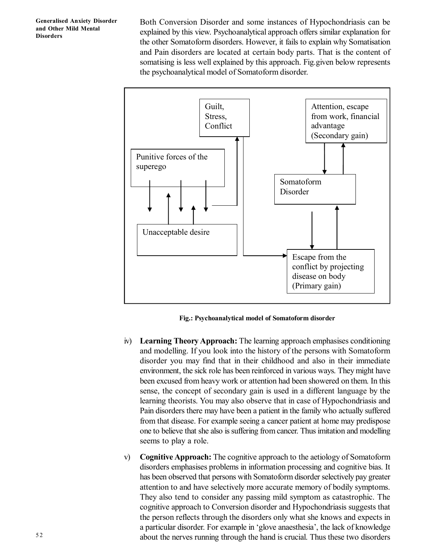Both Conversion Disorder and some instances of Hypochondriasis can be explained by this view. Psychoanalytical approach offers similar explanation for the other Somatoform disorders. However, it fails to explain why Somatisation and Pain disorders are located at certain body parts. That is the content of somatising is less well explained by this approach. Fig.given below represents the psychoanalytical model of Somatoform disorder.



**Fig.: Psychoanalytical model of Somatoform disorder**

- iv) **Learning Theory Approach:** The learning approach emphasises conditioning and modelling. If you look into the history of the persons with Somatoform disorder you may find that in their childhood and also in their immediate environment, the sick role has been reinforced in various ways. They might have been excused from heavy work or attention had been showered on them. In this sense, the concept of secondary gain is used in a different language by the learning theorists. You may also observe that in case of Hypochondriasis and Pain disorders there may have been a patient in the family who actually suffered from that disease. For example seeing a cancer patient at home may predispose one to believe that she also is suffering from cancer. Thus imitation and modelling seems to play a role.
- v) **Cognitive Approach:** The cognitive approach to the aetiology of Somatoform disorders emphasises problems in information processing and cognitive bias. It has been observed that persons with Somatoform disorder selectively pay greater attention to and have selectively more accurate memory of bodily symptoms. They also tend to consider any passing mild symptom as catastrophic. The cognitive approach to Conversion disorder and Hypochondriasis suggests that the person reflects through the disorders only what she knows and expects in a particular disorder. For example in 'glove anaesthesia', the lack of knowledge about the nerves running through the hand is crucial. Thus these two disorders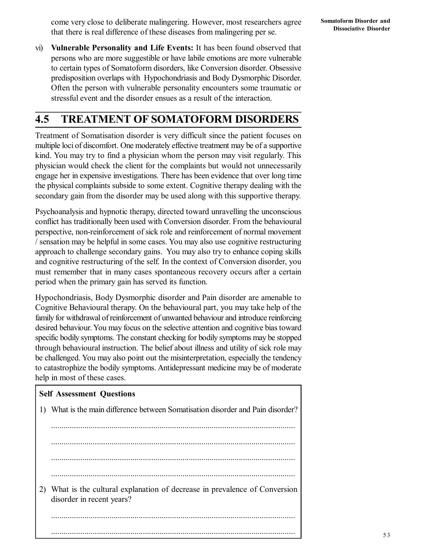vi) **Vulnerable Personality and Life Events:** It has been found observed that persons who are more suggestible or have labile emotions are more vulnerable to certain types of Somatoform disorders, like Conversion disorder. Obsessive predisposition overlaps with Hypochondriasis and Body Dysmorphic Disorder. Often the person with vulnerable personality encounters some traumatic or stressful event and the disorder ensues as a result of the interaction.

# **4.5 TREATMENT OF SOMATOFORM DISORDERS**

Treatment of Somatisation disorder is very difficult since the patient focuses on multiple loci of discomfort. One moderately effective treatment may be of a supportive kind. You may try to find a physician whom the person may visit regularly. This physician would check the client for the complaints but would not unnecessarily engage her in expensive investigations. There has been evidence that over long time the physical complaints subside to some extent. Cognitive therapy dealing with the secondary gain from the disorder may be used along with this supportive therapy.

Psychoanalysis and hypnotic therapy, directed toward unravelling the unconscious conflict has traditionally been used with Conversion disorder. From the behavioural perspective, non-reinforcement of sick role and reinforcement of normal movement / sensation may be helpful in some cases. You may also use cognitive restructuring approach to challenge secondary gains. You may also try to enhance coping skills and cognitive restructuring of the self. In the context of Conversion disorder, you must remember that in many cases spontaneous recovery occurs after a certain period when the primary gain has served its function.

Hypochondriasis, Body Dysmorphic disorder and Pain disorder are amenable to Cognitive Behavioural therapy. On the behavioural part, you may take help of the family for withdrawal of reinforcement of unwanted behaviour and introduce reinforcing desired behaviour. You may focus on the selective attention and cognitive bias toward specific bodily symptoms. The constant checking for bodily symptoms may be stopped through behavioural instruction. The belief about illness and utility of sick role may be challenged. You may also point out the misinterpretation, especially the tendency to catastrophize the bodily symptoms. Antidepressant medicine may be of moderate help in most of these cases.

#### **Self Assessment Questions**

|    | What is the main difference between Somatisation disorder and Pain disorder?                          |
|----|-------------------------------------------------------------------------------------------------------|
|    |                                                                                                       |
|    |                                                                                                       |
|    |                                                                                                       |
|    |                                                                                                       |
| 2) | What is the cultural explanation of decrease in prevalence of Conversion<br>disorder in recent years? |
|    |                                                                                                       |
|    |                                                                                                       |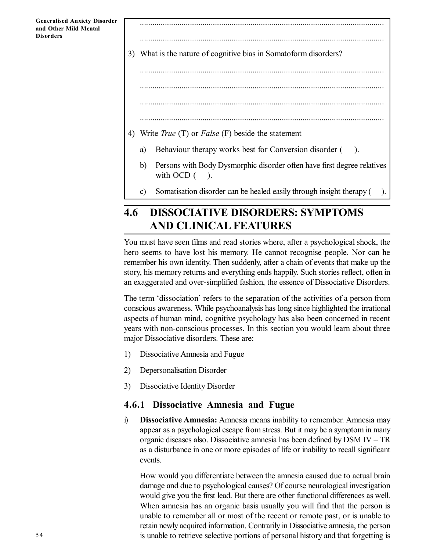..................................................................................................................... 3) What is the nature of cognitive bias in Somatoform disorders? ..................................................................................................................... ..................................................................................................................... ..................................................................................................................... 4) Write *True* (T) or *False* (F) beside the statement a) Behaviour therapy works best for Conversion disorder ( ).

.....................................................................................................................

- b) Persons with Body Dysmorphic disorder often have first degree relatives with OCD  $($ ).
- c) Somatisation disorder can be healed easily through insight therapy ( ).

# **4.6 DISSOCIATIVE DISORDERS: SYMPTOMS AND CLINICAL FEATURES**

You must have seen films and read stories where, after a psychological shock, the hero seems to have lost his memory. He cannot recognise people. Nor can he remember his own identity. Then suddenly, after a chain of events that make up the story, his memory returns and everything ends happily. Such stories reflect, often in an exaggerated and over-simplified fashion, the essence of Dissociative Disorders.

The term 'dissociation' refers to the separation of the activities of a person from conscious awareness. While psychoanalysis has long since highlighted the irrational aspects of human mind, cognitive psychology has also been concerned in recent years with non-conscious processes. In this section you would learn about three major Dissociative disorders. These are:

- 1) Dissociative Amnesia and Fugue
- 2) Depersonalisation Disorder
- 3) Dissociative Identity Disorder

#### **4.6.1 Dissociative Amnesia and Fugue**

i) **Dissociative Amnesia:** Amnesia means inability to remember. Amnesia may appear as a psychological escape from stress. But it may be a symptom in many organic diseases also. Dissociative amnesia has been defined by DSM IV – TR as a disturbance in one or more episodes of life or inability to recall significant events.

How would you differentiate between the amnesia caused due to actual brain damage and due to psychological causes? Of course neurological investigation would give you the first lead. But there are other functional differences as well. When amnesia has an organic basis usually you will find that the person is unable to remember all or most of the recent or remote past, or is unable to retain newly acquired information. Contrarily in Dissociative amnesia, the person is unable to retrieve selective portions of personal history and that forgetting is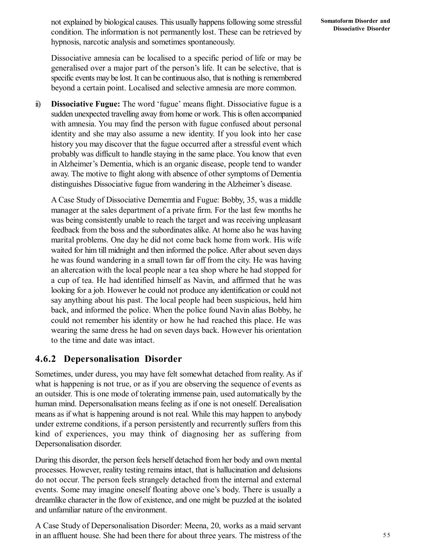not explained by biological causes. This usually happens following some stressful condition. The information is not permanently lost. These can be retrieved by hypnosis, narcotic analysis and sometimes spontaneously.

Dissociative amnesia can be localised to a specific period of life or may be generalised over a major part of the person's life. It can be selective, that is specific events may be lost. It can be continuous also, that is nothing is remembered beyond a certain point. Localised and selective amnesia are more common.

ii) **Dissociative Fugue:** The word 'fugue' means flight. Dissociative fugue is a sudden unexpected travelling away from home or work. This is often accompanied with amnesia. You may find the person with fugue confused about personal identity and she may also assume a new identity. If you look into her case history you may discover that the fugue occurred after a stressful event which probably was difficult to handle staying in the same place. You know that even in Alzheimer's Dementia, which is an organic disease, people tend to wander away. The motive to flight along with absence of other symptoms of Dementia distinguishes Dissociative fugue from wandering in the Alzheimer's disease.

A Case Study of Dissociative Dememtia and Fugue: Bobby, 35, was a middle manager at the sales department of a private firm. For the last few months he was being consistently unable to reach the target and was receiving unpleasant feedback from the boss and the subordinates alike. At home also he was having marital problems. One day he did not come back home from work. His wife waited for him till midnight and then informed the police. After about seven days he was found wandering in a small town far off from the city. He was having an altercation with the local people near a tea shop where he had stopped for a cup of tea. He had identified himself as Navin, and affirmed that he was looking for a job. However he could not produce any identification or could not say anything about his past. The local people had been suspicious, held him back, and informed the police. When the police found Navin alias Bobby, he could not remember his identity or how he had reached this place. He was wearing the same dress he had on seven days back. However his orientation to the time and date was intact.

#### **4.6.2 Depersonalisation Disorder**

Sometimes, under duress, you may have felt somewhat detached from reality. As if what is happening is not true, or as if you are observing the sequence of events as an outsider. This is one mode of tolerating immense pain, used automatically by the human mind. Depersonalisation means feeling as if one is not oneself. Derealisation means as if what is happening around is not real. While this may happen to anybody under extreme conditions, if a person persistently and recurrently suffers from this kind of experiences, you may think of diagnosing her as suffering from Depersonalisation disorder.

During this disorder, the person feels herself detached from her body and own mental processes. However, reality testing remains intact, that is hallucination and delusions do not occur. The person feels strangely detached from the internal and external events. Some may imagine oneself floating above one's body. There is usually a dreamlike character in the flow of existence, and one might be puzzled at the isolated and unfamiliar nature of the environment.

A Case Study of Depersonalisation Disorder: Meena, 20, works as a maid servant in an affluent house. She had been there for about three years. The mistress of the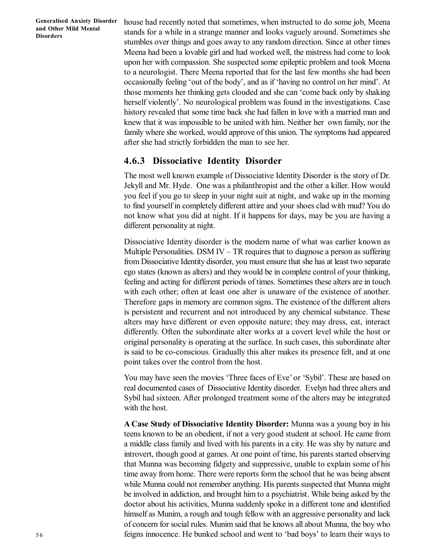house had recently noted that sometimes, when instructed to do some job, Meena stands for a while in a strange manner and looks vaguely around. Sometimes she stumbles over things and goes away to any random direction. Since at other times Meena had been a lovable girl and had worked well, the mistress had come to look upon her with compassion. She suspected some epileptic problem and took Meena to a neurologist. There Meena reported that for the last few months she had been occasionally feeling 'out of the body', and as if 'having no control on her mind'. At those moments her thinking gets clouded and she can 'come back only by shaking herself violently'. No neurological problem was found in the investigations. Case history revealed that some time back she had fallen in love with a married man and knew that it was impossible to be united with him. Neither her own family, nor the family where she worked, would approve of this union. The symptoms had appeared after she had strictly forbidden the man to see her.

#### **4.6.3 Dissociative Identity Disorder**

The most well known example of Dissociative Identity Disorder is the story of Dr. Jekyll and Mr. Hyde. One was a philanthropist and the other a killer. How would you feel if you go to sleep in your night suit at night, and wake up in the morning to find yourself in completely different attire and your shoes clad with mud? You do not know what you did at night. If it happens for days, may be you are having a different personality at night.

Dissociative Identity disorder is the modern name of what was earlier known as Multiple Personalities. DSM IV  $-$  TR requires that to diagnose a person as suffering from Dissociative Identity disorder, you must ensure that she has at least two separate ego states (known as alters) and they would be in complete control of your thinking, feeling and acting for different periods of times. Sometimes these alters are in touch with each other; often at least one alter is unaware of the existence of another. Therefore gaps in memory are common signs. The existence of the different alters is persistent and recurrent and not introduced by any chemical substance. These alters may have different or even opposite nature; they may dress, eat, interact differently. Often the subordinate alter works at a covert level while the host or original personality is operating at the surface. In such cases, this subordinate alter is said to be co-conscious. Gradually this alter makes its presence felt, and at one point takes over the control from the host.

You may have seen the movies 'Three faces of Eve' or 'Sybil'. These are based on real documented cases of Dissociative Identity disorder. Evelyn had three alters and Sybil had sixteen. After prolonged treatment some of the alters may be integrated with the host.

**A Case Study of Dissociative Identity Disorder:** Munna was a young boy in his teens known to be an obedient, if not a very good student at school. He came from a middle class family and lived with his parents in a city. He was shy by nature and introvert, though good at games. At one point of time, his parents started observing that Munna was becoming fidgety and suppressive, unable to explain some of his time away from home. There were reports form the school that he was being absent while Munna could not remember anything. His parents suspected that Munna might be involved in addiction, and brought him to a psychiatrist. While being asked by the doctor about his activities, Munna suddenly spoke in a different tone and identified himself as Munim, a rough and tough fellow with an aggressive personality and lack of concern for social rules. Munim said that he knows all about Munna, the boy who feigns innocence. He bunked school and went to 'bad boys' to learn their ways to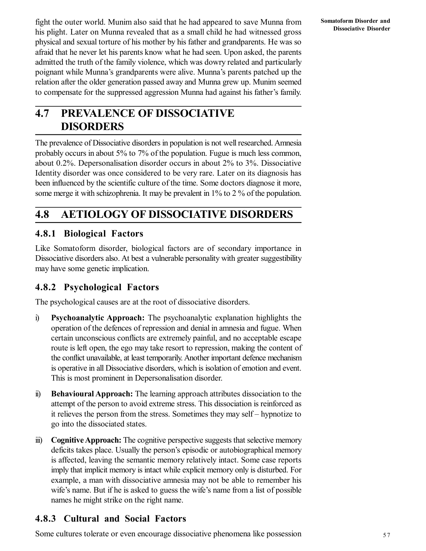fight the outer world. Munim also said that he had appeared to save Munna from his plight. Later on Munna revealed that as a small child he had witnessed gross physical and sexual torture of his mother by his father and grandparents. He was so afraid that he never let his parents know what he had seen. Upon asked, the parents admitted the truth of the family violence, which was dowry related and particularly poignant while Munna's grandparents were alive. Munna's parents patched up the relation after the older generation passed away and Munna grew up. Munim seemed to compensate for the suppressed aggression Munna had against his father's family.

## **4.7 PREVALENCE OF DISSOCIATIVE DISORDERS**

The prevalence of Dissociative disorders in population is not well researched. Amnesia probably occurs in about 5% to 7% of the population. Fugue is much less common, about 0.2%. Depersonalisation disorder occurs in about 2% to 3%. Dissociative Identity disorder was once considered to be very rare. Later on its diagnosis has been influenced by the scientific culture of the time. Some doctors diagnose it more, some merge it with schizophrenia. It may be prevalent in 1% to 2 % of the population.

## **4.8 AETIOLOGY OF DISSOCIATIVE DISORDERS**

#### **4.8.1 Biological Factors**

Like Somatoform disorder, biological factors are of secondary importance in Dissociative disorders also. At best a vulnerable personality with greater suggestibility may have some genetic implication.

#### **4.8.2 Psychological Factors**

The psychological causes are at the root of dissociative disorders.

- i) **Psychoanalytic Approach:** The psychoanalytic explanation highlights the operation of the defences of repression and denial in amnesia and fugue. When certain unconscious conflicts are extremely painful, and no acceptable escape route is left open, the ego may take resort to repression, making the content of the conflict unavailable, at least temporarily. Another important defence mechanism is operative in all Dissociative disorders, which is isolation of emotion and event. This is most prominent in Depersonalisation disorder.
- ii) **Behavioural Approach:** The learning approach attributes dissociation to the attempt of the person to avoid extreme stress. This dissociation is reinforced as it relieves the person from the stress. Sometimes they may self – hypnotize to go into the dissociated states.
- iii) **Cognitive Approach:** The cognitive perspective suggests that selective memory deficits takes place. Usually the person's episodic or autobiographical memory is affected, leaving the semantic memory relatively intact. Some case reports imply that implicit memory is intact while explicit memory only is disturbed. For example, a man with dissociative amnesia may not be able to remember his wife's name. But if he is asked to guess the wife's name from a list of possible names he might strike on the right name.

### **4.8.3 Cultural and Social Factors**

Some cultures tolerate or even encourage dissociative phenomena like possession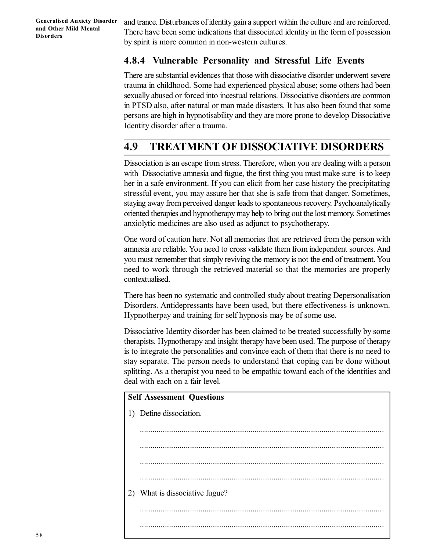and trance. Disturbances of identity gain a support within the culture and are reinforced. There have been some indications that dissociated identity in the form of possession by spirit is more common in non-western cultures.

#### **4.8.4 Vulnerable Personality and Stressful Life Events**

There are substantial evidences that those with dissociative disorder underwent severe trauma in childhood. Some had experienced physical abuse; some others had been sexually abused or forced into incestual relations. Dissociative disorders are common in PTSD also, after natural or man made disasters. It has also been found that some persons are high in hypnotisability and they are more prone to develop Dissociative Identity disorder after a trauma.

## **4.9 TREATMENT OF DISSOCIATIVE DISORDERS**

Dissociation is an escape from stress. Therefore, when you are dealing with a person with Dissociative amnesia and fugue, the first thing you must make sure is to keep her in a safe environment. If you can elicit from her case history the precipitating stressful event, you may assure her that she is safe from that danger. Sometimes, staying away from perceived danger leads to spontaneous recovery. Psychoanalytically oriented therapies and hypnotherapy may help to bring out the lost memory. Sometimes anxiolytic medicines are also used as adjunct to psychotherapy.

One word of caution here. Not all memories that are retrieved from the person with amnesia are reliable. You need to cross validate them from independent sources. And you must remember that simply reviving the memory is not the end of treatment. You need to work through the retrieved material so that the memories are properly contextualised.

There has been no systematic and controlled study about treating Depersonalisation Disorders. Antidepressants have been used, but there effectiveness is unknown. Hypnotherpay and training for self hypnosis may be of some use.

Dissociative Identity disorder has been claimed to be treated successfully by some therapists. Hypnotherapy and insight therapy have been used. The purpose of therapy is to integrate the personalities and convince each of them that there is no need to stay separate. The person needs to understand that coping can be done without splitting. As a therapist you need to be empathic toward each of the identities and deal with each on a fair level.

# **Self Assessment Questions** 1) Define dissociation. ..................................................................................................................... ..................................................................................................................... ..................................................................................................................... ..................................................................................................................... 2) What is dissociative fugue? ..................................................................................................................... .....................................................................................................................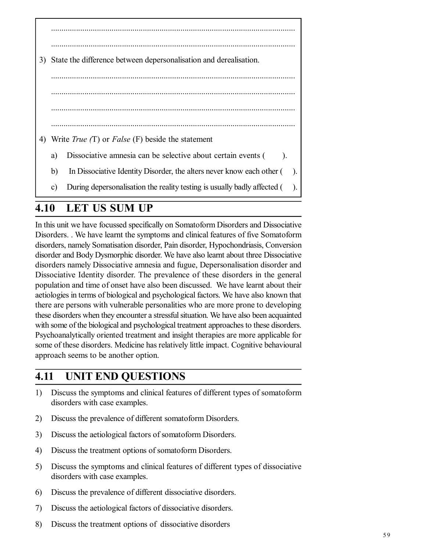| 3) |    | State the difference between depersonalisation and derealisation.                   |
|----|----|-------------------------------------------------------------------------------------|
|    |    |                                                                                     |
|    |    |                                                                                     |
|    |    |                                                                                     |
|    |    |                                                                                     |
| 4) |    | Write <i>True</i> $(T)$ or <i>False</i> $(F)$ beside the statement                  |
|    | a) | Dissociative amnesia can be selective about certain events (<br>$\cdot$             |
|    | b) | In Dissociative Identity Disorder, the alters never know each other (<br>$\cdot$ ). |
|    | c) | During depersonalisation the reality testing is usually badly affected (<br>).      |

## **4.10 LET US SUM UP**

In this unit we have focussed specifically on Somatoform Disorders and Dissociative Disorders. . We have learnt the symptoms and clinical features of five Somatoform disorders, namely Somatisation disorder, Pain disorder, Hypochondriasis, Conversion disorder and Body Dysmorphic disorder. We have also learnt about three Dissociative disorders namely Dissociative amnesia and fugue, Depersonalisation disorder and Dissociative Identity disorder. The prevalence of these disorders in the general population and time of onset have also been discussed. We have learnt about their aetiologies in terms of biological and psychological factors. We have also known that there are persons with vulnerable personalities who are more prone to developing these disorders when they encounter a stressful situation. We have also been acquainted with some of the biological and psychological treatment approaches to these disorders. Psychoanalytically oriented treatment and insight therapies are more applicable for some of these disorders. Medicine has relatively little impact. Cognitive behavioural approach seems to be another option.

## **4.11 UNIT END QUESTIONS**

- 1) Discuss the symptoms and clinical features of different types of somatoform disorders with case examples.
- 2) Discuss the prevalence of different somatoform Disorders.
- 3) Discuss the aetiological factors of somatoform Disorders.
- 4) Discuss the treatment options of somatoform Disorders.
- 5) Discuss the symptoms and clinical features of different types of dissociative disorders with case examples.
- 6) Discuss the prevalence of different dissociative disorders.
- 7) Discuss the aetiological factors of dissociative disorders.
- 8) Discuss the treatment options of dissociative disorders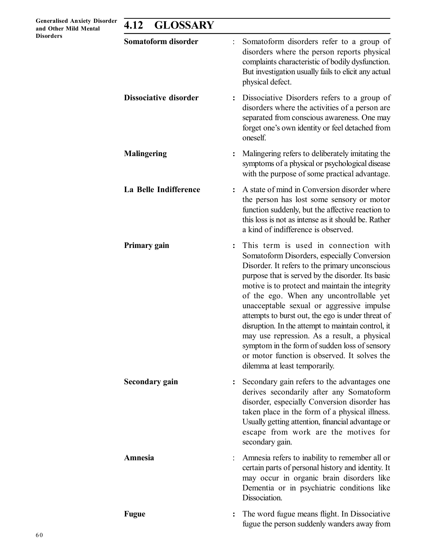| <b>Generalised Anxiety Disorder</b><br>and Other Mild Mental | <b>GLOSSARY</b><br>4.12      |  |                                                                                                                                                                                                                                                                                                                                                                                                                                                                                                                                                                                                                                   |  |
|--------------------------------------------------------------|------------------------------|--|-----------------------------------------------------------------------------------------------------------------------------------------------------------------------------------------------------------------------------------------------------------------------------------------------------------------------------------------------------------------------------------------------------------------------------------------------------------------------------------------------------------------------------------------------------------------------------------------------------------------------------------|--|
| <b>Disorders</b>                                             | Somatoform disorder          |  | Somatoform disorders refer to a group of<br>disorders where the person reports physical<br>complaints characteristic of bodily dysfunction.<br>But investigation usually fails to elicit any actual<br>physical defect.                                                                                                                                                                                                                                                                                                                                                                                                           |  |
|                                                              | <b>Dissociative disorder</b> |  | Dissociative Disorders refers to a group of<br>disorders where the activities of a person are<br>separated from conscious awareness. One may<br>forget one's own identity or feel detached from<br>oneself.                                                                                                                                                                                                                                                                                                                                                                                                                       |  |
|                                                              | <b>Malingering</b>           |  | Malingering refers to deliberately imitating the<br>symptoms of a physical or psychological disease<br>with the purpose of some practical advantage.                                                                                                                                                                                                                                                                                                                                                                                                                                                                              |  |
|                                                              | La Belle Indifference        |  | A state of mind in Conversion disorder where<br>the person has lost some sensory or motor<br>function suddenly, but the affective reaction to<br>this loss is not as intense as it should be. Rather<br>a kind of indifference is observed.                                                                                                                                                                                                                                                                                                                                                                                       |  |
|                                                              | Primary gain                 |  | This term is used in connection with<br>Somatoform Disorders, especially Conversion<br>Disorder. It refers to the primary unconscious<br>purpose that is served by the disorder. Its basic<br>motive is to protect and maintain the integrity<br>of the ego. When any uncontrollable yet<br>unacceptable sexual or aggressive impulse<br>attempts to burst out, the ego is under threat of<br>disruption. In the attempt to maintain control, it<br>may use repression. As a result, a physical<br>symptom in the form of sudden loss of sensory<br>or motor function is observed. It solves the<br>dilemma at least temporarily. |  |
|                                                              | <b>Secondary gain</b>        |  | Secondary gain refers to the advantages one<br>derives secondarily after any Somatoform<br>disorder, especially Conversion disorder has<br>taken place in the form of a physical illness.<br>Usually getting attention, financial advantage or<br>escape from work are the motives for<br>secondary gain.                                                                                                                                                                                                                                                                                                                         |  |
|                                                              | Amnesia                      |  | Amnesia refers to inability to remember all or<br>certain parts of personal history and identity. It<br>may occur in organic brain disorders like<br>Dementia or in psychiatric conditions like<br>Dissociation.                                                                                                                                                                                                                                                                                                                                                                                                                  |  |
|                                                              | <b>Fugue</b>                 |  | The word fugue means flight. In Dissociative<br>fugue the person suddenly wanders away from                                                                                                                                                                                                                                                                                                                                                                                                                                                                                                                                       |  |